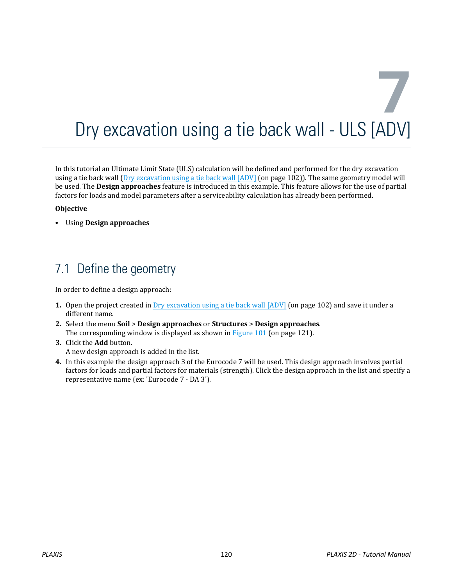# **7** Dry excavation using a tie back wall - ULS [ADV]

In this tutorial an Ultimate Limit State (ULS) calculation will be defined and performed for the dry excavation using a tie back wall (Dry excavation using a tie back wall [ADV] (on page 102)). The same geometry model will be used. The **Design approaches** feature is introduced in this example. This feature allows for the use of partial factors for loads and model parameters after a serviceability calculation has already been performed.

#### **Objective**

• Using **Design approaches**

# 7.1 Define the geometry

In order to define a design approach:

- **1.** Open the project created in Dry excavation using a tie back wall [ADV] (on page 102) and save it under a different name.
- **2.** Select the menu **Soil** > **Design approaches** or **Structures** > **Design approaches**. The corresponding window is displayed as shown in [Figure 101](#page-1-0) (on page 121).
- **3.** Click the **Add** button. A new design approach is added in the list.
- **4.** In this example the design approach 3 of the Eurocode 7 will be used. This design approach involves partial factors for loads and partial factors for materials (strength). Click the design approach in the list and specify a representative name (ex: 'Eurocode 7 - DA 3').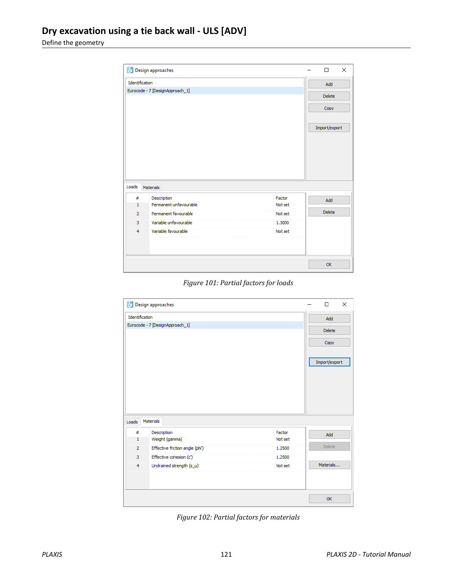<span id="page-1-0"></span>Define the geometry

|                                 | Design approaches                     |                   | П             | X |
|---------------------------------|---------------------------------------|-------------------|---------------|---|
| Identification                  | Add                                   |                   |               |   |
| Eurocode - 7 [DesignApproach_1] | <b>Delete</b>                         |                   |               |   |
|                                 |                                       |                   | Copy          |   |
| Loads                           | Materials                             |                   | Import/export |   |
| #                               |                                       |                   |               |   |
| $\mathbf{1}$                    | Description<br>Permanent unfavourable | Factor<br>Not set | Add           |   |
| $\overline{2}$                  | Permanent favourable                  | Not set           | <b>Delete</b> |   |
| 3                               | Variable unfavourable                 | 1.3000            |               |   |
| $\overline{4}$                  | Variable favourable                   | Not set           |               |   |
|                                 |                                       |                   |               |   |
|                                 |                                       |                   | <b>OK</b>     |   |

|  | Figure 101: Partial factors for loads |  |
|--|---------------------------------------|--|
|  |                                       |  |

| Identification<br>Add<br>Eurocode - 7 [DesignApproach_1]<br><b>Delete</b><br>Copy<br>Import/export<br><b>Materials</b><br>Loads<br>Description<br>#<br>Factor<br>Add<br>Weight (gamma)<br>$\mathbf{1}$<br>Not set<br><b>Delete</b><br>Effective friction angle (phi')<br>$\overline{2}$<br>1.2500<br>Effective cohesion (c')<br>3<br>1.2500<br>Materials<br>Undrained strength (s_u)<br>$\overline{4}$<br>Not set | × |
|-------------------------------------------------------------------------------------------------------------------------------------------------------------------------------------------------------------------------------------------------------------------------------------------------------------------------------------------------------------------------------------------------------------------|---|
|                                                                                                                                                                                                                                                                                                                                                                                                                   |   |
|                                                                                                                                                                                                                                                                                                                                                                                                                   |   |
|                                                                                                                                                                                                                                                                                                                                                                                                                   |   |
|                                                                                                                                                                                                                                                                                                                                                                                                                   |   |
|                                                                                                                                                                                                                                                                                                                                                                                                                   |   |
|                                                                                                                                                                                                                                                                                                                                                                                                                   |   |
|                                                                                                                                                                                                                                                                                                                                                                                                                   |   |
|                                                                                                                                                                                                                                                                                                                                                                                                                   |   |
|                                                                                                                                                                                                                                                                                                                                                                                                                   |   |
|                                                                                                                                                                                                                                                                                                                                                                                                                   |   |
|                                                                                                                                                                                                                                                                                                                                                                                                                   |   |
|                                                                                                                                                                                                                                                                                                                                                                                                                   |   |
|                                                                                                                                                                                                                                                                                                                                                                                                                   |   |
|                                                                                                                                                                                                                                                                                                                                                                                                                   |   |
|                                                                                                                                                                                                                                                                                                                                                                                                                   |   |
|                                                                                                                                                                                                                                                                                                                                                                                                                   |   |
|                                                                                                                                                                                                                                                                                                                                                                                                                   |   |
|                                                                                                                                                                                                                                                                                                                                                                                                                   |   |
| <b>OK</b>                                                                                                                                                                                                                                                                                                                                                                                                         |   |

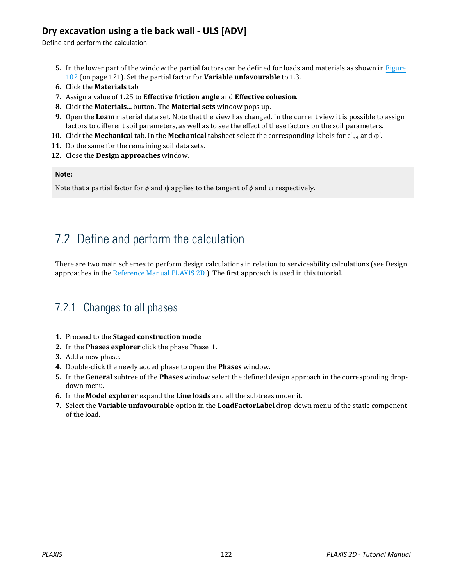Define and perform the calculation

- **5.** In the lower part of the window the partial factors can be defined for loads and materials as shown in [Figure](#page-1-0) [102](#page-1-0) (on page 121). Set the partial factor for **Variable unfavourable** to 1.3.
- **6.** Click the **Materials** tab.
- **7.** Assign a value of 1.25 to **Effective friction angle** and **Effective cohesion**.
- **8.** Click the **Materials...** button. The **Material sets** window pops up.
- **9.** Open the **Loam** material data set. Note that the view has changed. In the current view it is possible to assign factors to different soil parameters, as well as to see the effect of these factors on the soil parameters.
- **10.** Click the **Mechanical** tab. In the **Mechanical** tabsheet select the corresponding labels for c'ref and φ'.
- **11.** Do the same for the remaining soil data sets.
- **12.** Close the **Design approaches** window.

#### **Note:**

Note that a partial factor for *ϕ* and ψ applies to the tangent of *ϕ* and ψ respectively.

## 7.2 Define and perform the calculation

There are two main schemes to perform design calculations in relation to serviceability calculations (see Design approaches in the Reference Manual PLAXIS 2D ). The first approach is used in this tutorial.

#### 7.2.1 Changes to all phases

- **1.** Proceed to the **Staged construction mode**.
- **2.** In the **Phases explorer** click the phase Phase\_1.
- **3.** Add a new phase.
- **4.** Double-click the newly added phase to open the **Phases** window.
- **5.** In the **General** subtree of the **Phases** window select the defined design approach in the corresponding dropdown menu.
- **6.** In the **Model explorer** expand the **Line loads** and all the subtrees under it.
- **7.** Select the **Variable unfavourable** option in the **LoadFactorLabel** drop-down menu of the static component of the load.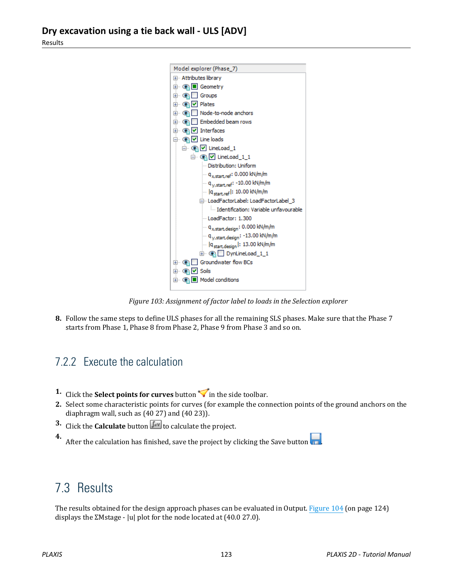Results



*Figure 103: Assignment of factor label to loads in the Selection explorer*

**8.** Follow the same steps to define ULS phases for all the remaining SLS phases. Make sure that the Phase 7 starts from Phase 1, Phase 8 from Phase 2, Phase 9 from Phase 3 and so on.

### 7.2.2 Execute the calculation

- **1.** Click the **Select points for curves** button  $\triangledown$  in the side toolbar.
- **2.** Select some characteristic points for curves (for example the connection points of the ground anchors on the diaphragm wall, such as (40 27) and (40 23)).
- **3.** Click the **Calculate** button  $\begin{bmatrix} \mathbf{I} \cdot \mathbf{v} \end{bmatrix}$  to calculate the project.

**4.** After the calculation has finished, save the project by clicking the Save button

## 7.3 Results

The results obtained for the design approach phases can be evaluated in Output. [Figure 104](#page-4-0) (on page 124) displays the ΣMstage - |u| plot for the node located at (40.0 27.0).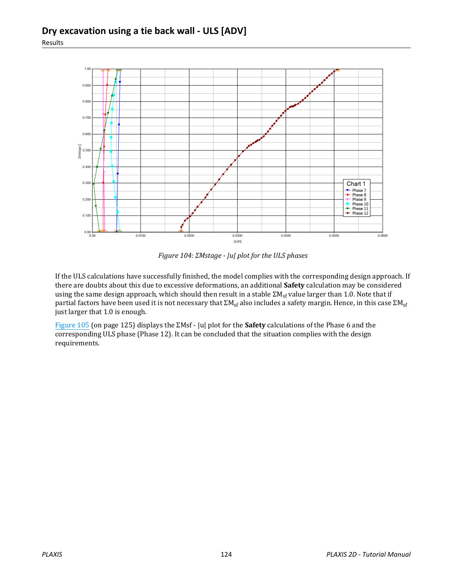<span id="page-4-0"></span>

*Figure 104: ΣMstage - |u| plot for the ULS phases*

If the ULS calculations have successfully finished, the model complies with the corresponding design approach. If there are doubts about this due to excessive deformations, an additional **Safety** calculation may be considered using the same design approach, which should then result in a stable  $\Sigma M_{\rm sf}$  value larger than 1.0. Note that if partial factors have been used it is not necessary that  $\Sigma M_{sf}$  also includes a safety margin. Hence, in this case  $\Sigma M_{sf}$ just larger that 1.0 is enough.

[Figure 105](#page-5-0) (on page 125) displays the ΣMsf - |u| plot for the **Safety** calculations of the Phase 6 and the corresponding ULS phase (Phase 12). It can be concluded that the situation complies with the design requirements.